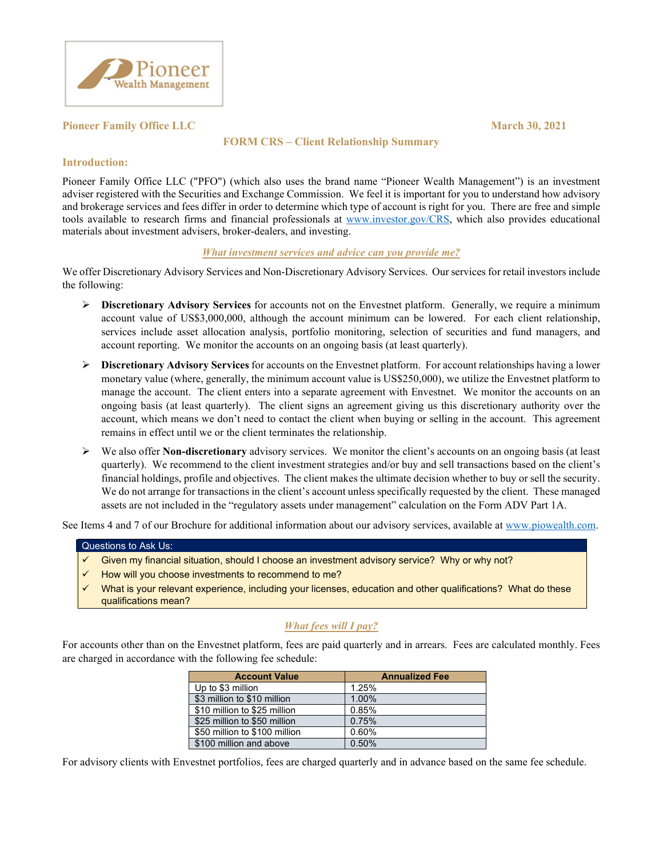

## **Pioneer Family Office LLC March 30, 2021**

## **FORM CRS – Client Relationship Summary**

## **Introduction:**

Pioneer Family Office LLC ("PFO") (which also uses the brand name "Pioneer Wealth Management") is an investment adviser registered with the Securities and Exchange Commission. We feel it is important for you to understand how advisory and brokerage services and fees differ in order to determine which type of account is right for you. There are free and simple tools available to research firms and financial professionals at www.investor.gov/CRS, which also provides educational materials about investment advisers, broker-dealers, and investing.

#### *What investment services and advice can you provide me?*

We offer Discretionary Advisory Services and Non-Discretionary Advisory Services. Our services for retail investors include the following:

- **Discretionary Advisory Services** for accounts not on the Envestnet platform.Generally, we require a minimum account value of US\$3,000,000, although the account minimum can be lowered. For each client relationship, services include asset allocation analysis, portfolio monitoring, selection of securities and fund managers, and account reporting. We monitor the accounts on an ongoing basis (at least quarterly).
- **Discretionary Advisory Services** for accounts on the Envestnet platform. For account relationships having a lower monetary value (where, generally, the minimum account value is US\$250,000), we utilize the Envestnet platform to manage the account. The client enters into a separate agreement with Envestnet. We monitor the accounts on an ongoing basis (at least quarterly). The client signs an agreement giving us this discretionary authority over the account, which means we don't need to contact the client when buying or selling in the account. This agreement remains in effect until we or the client terminates the relationship.
- We also offer **Non-discretionary** advisory services. We monitor the client's accounts on an ongoing basis (at least quarterly). We recommend to the client investment strategies and/or buy and sell transactions based on the client's financial holdings, profile and objectives. The client makes the ultimate decision whether to buy or sell the security. We do not arrange for transactions in the client's account unless specifically requested by the client. These managed assets are not included in the "regulatory assets under management" calculation on the Form ADV Part 1A.

See Items 4 and 7 of our Brochure for additional information about our advisory services, available at www.piowealth.com.

#### Questions to Ask Us:

- Given my financial situation, should I choose an investment advisory service? Why or why not?
- How will you choose investments to recommend to me?
- What is your relevant experience, including your licenses, education and other qualifications? What do these qualifications mean?

# *What fees will I pay?*

For accounts other than on the Envestnet platform, fees are paid quarterly and in arrears. Fees are calculated monthly. Fees are charged in accordance with the following fee schedule:

| <b>Account Value</b>          | <b>Annualized Fee</b> |
|-------------------------------|-----------------------|
| Up to \$3 million             | 1.25%                 |
| \$3 million to \$10 million   | 1.00%                 |
| \$10 million to \$25 million  | 0.85%                 |
| \$25 million to \$50 million  | 0.75%                 |
| \$50 million to \$100 million | 0.60%                 |
| \$100 million and above       | 0.50%                 |

For advisory clients with Envestnet portfolios, fees are charged quarterly and in advance based on the same fee schedule.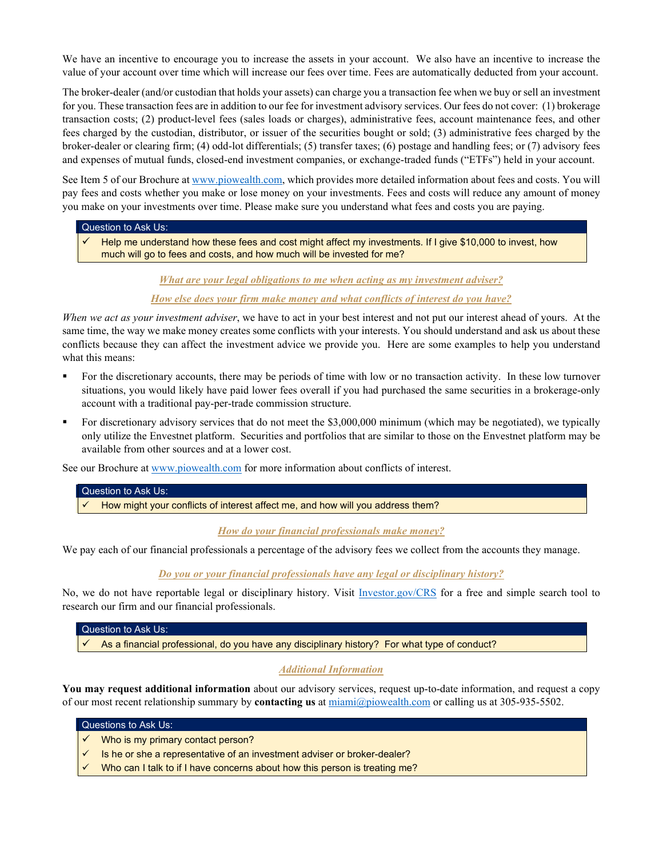We have an incentive to encourage you to increase the assets in your account. We also have an incentive to increase the value of your account over time which will increase our fees over time. Fees are automatically deducted from your account.

The broker-dealer (and/or custodian that holds your assets) can charge you a transaction fee when we buy or sell an investment for you. These transaction fees are in addition to our fee for investment advisory services. Our fees do not cover: (1) brokerage transaction costs; (2) product-level fees (sales loads or charges), administrative fees, account maintenance fees, and other fees charged by the custodian, distributor, or issuer of the securities bought or sold; (3) administrative fees charged by the broker-dealer or clearing firm; (4) odd-lot differentials; (5) transfer taxes; (6) postage and handling fees; or (7) advisory fees and expenses of mutual funds, closed-end investment companies, or exchange-traded funds ("ETFs") held in your account.

See Item 5 of our Brochure at www.piowealth.com, which provides more detailed information about fees and costs. You will pay fees and costs whether you make or lose money on your investments. Fees and costs will reduce any amount of money you make on your investments over time. Please make sure you understand what fees and costs you are paying.

## Question to Ask Us:

 $\checkmark$  Help me understand how these fees and cost might affect my investments. If I give \$10,000 to invest, how much will go to fees and costs, and how much will be invested for me?

*What are your legal obligations to me when acting as my investment adviser?* 

*How else does your firm make money and what conflicts of interest do you have?*

*When we act as your investment adviser*, we have to act in your best interest and not put our interest ahead of yours. At the same time, the way we make money creates some conflicts with your interests. You should understand and ask us about these conflicts because they can affect the investment advice we provide you. Here are some examples to help you understand what this means:

- For the discretionary accounts, there may be periods of time with low or no transaction activity. In these low turnover situations, you would likely have paid lower fees overall if you had purchased the same securities in a brokerage-only account with a traditional pay-per-trade commission structure.
- For discretionary advisory services that do not meet the \$3,000,000 minimum (which may be negotiated), we typically only utilize the Envestnet platform. Securities and portfolios that are similar to those on the Envestnet platform may be available from other sources and at a lower cost.

See our Brochure at www.piowealth.com for more information about conflicts of interest.

# Question to Ask Us: How might your conflicts of interest affect me, and how will you address them?

*How do your financial professionals make money?*

We pay each of our financial professionals a percentage of the advisory fees we collect from the accounts they manage.

*Do you or your financial professionals have any legal or disciplinary history?*

No, we do not have reportable legal or disciplinary history. Visit *Investor.gov/CRS* for a free and simple search tool to research our firm and our financial professionals.

#### Question to Ask Us:

 $\checkmark$  As a financial professional, do you have any disciplinary history? For what type of conduct?

## *Additional Information*

**You may request additional information** about our advisory services, request up-to-date information, and request a copy of our most recent relationship summary by **contacting us** at miami@piowealth.com or calling us at 305-935-5502.

#### Questions to Ask Us:

- Who is my primary contact person?
- Is he or she a representative of an investment adviser or broker-dealer?
- Who can I talk to if I have concerns about how this person is treating me?